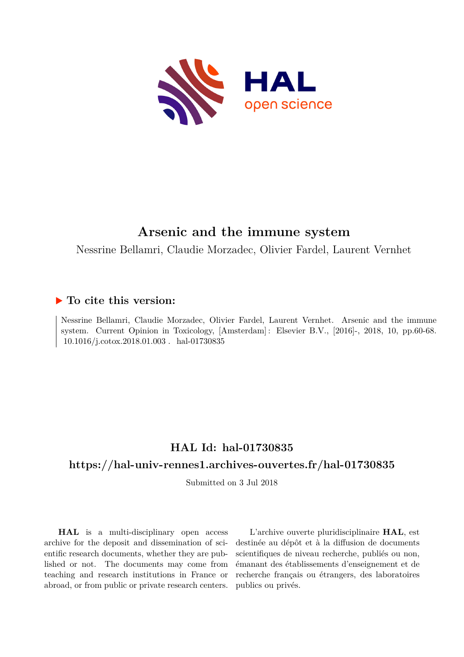

# **Arsenic and the immune system**

Nessrine Bellamri, Claudie Morzadec, Olivier Fardel, Laurent Vernhet

# **To cite this version:**

Nessrine Bellamri, Claudie Morzadec, Olivier Fardel, Laurent Vernhet. Arsenic and the immune system. Current Opinion in Toxicology, [Amsterdam] : Elsevier B.V., [2016]-, 2018, 10, pp.60-68. 10.1016/j.cotox.2018.01.003. hal-01730835

# **HAL Id: hal-01730835**

# **<https://hal-univ-rennes1.archives-ouvertes.fr/hal-01730835>**

Submitted on 3 Jul 2018

**HAL** is a multi-disciplinary open access archive for the deposit and dissemination of scientific research documents, whether they are published or not. The documents may come from teaching and research institutions in France or abroad, or from public or private research centers.

L'archive ouverte pluridisciplinaire **HAL**, est destinée au dépôt et à la diffusion de documents scientifiques de niveau recherche, publiés ou non, émanant des établissements d'enseignement et de recherche français ou étrangers, des laboratoires publics ou privés.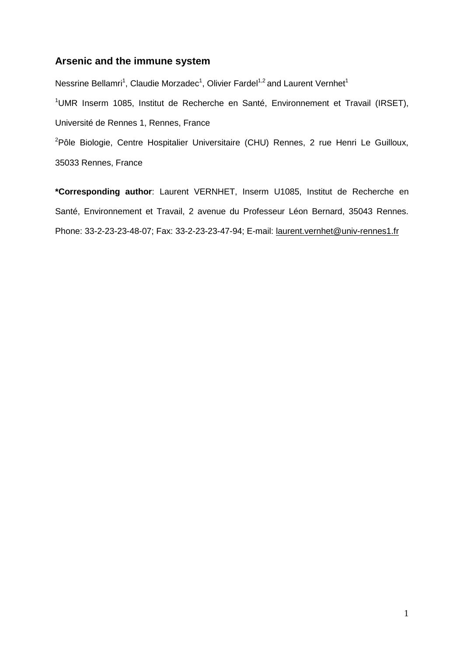## **Arsenic and the immune system**

Nessrine Bellamri<sup>1</sup>, Claudie Morzadec<sup>1</sup>, Olivier Fardel<sup>1,2</sup> and Laurent Vernhet<sup>1</sup> <sup>1</sup>UMR Inserm 1085, Institut de Recherche en Santé, Environnement et Travail (IRSET), Université de Rennes 1, Rennes, France

<sup>2</sup>Pôle Biologie, Centre Hospitalier Universitaire (CHU) Rennes, 2 rue Henri Le Guilloux, 35033 Rennes, France

**\*Corresponding author**: Laurent VERNHET, Inserm U1085, Institut de Recherche en Santé, Environnement et Travail, 2 avenue du Professeur Léon Bernard, 35043 Rennes. Phone: 33-2-23-23-48-07; Fax: 33-2-23-23-47-94; E-mail: [laurent.vernhet@univ-rennes1.fr](mailto:laurent.vernhet@univ-rennes1.fr)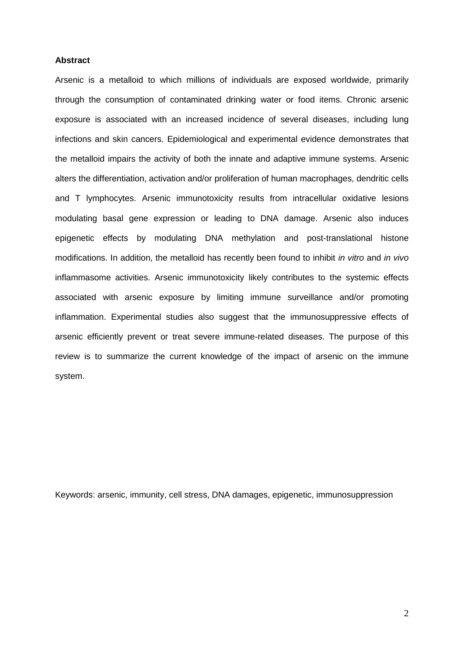#### **Abstract**

Arsenic is a metalloid to which millions of individuals are exposed worldwide, primarily through the consumption of contaminated drinking water or food items. Chronic arsenic exposure is associated with an increased incidence of several diseases, including lung infections and skin cancers. Epidemiological and experimental evidence demonstrates that the metalloid impairs the activity of both the innate and adaptive immune systems. Arsenic alters the differentiation, activation and/or proliferation of human macrophages, dendritic cells and T lymphocytes. Arsenic immunotoxicity results from intracellular oxidative lesions modulating basal gene expression or leading to DNA damage. Arsenic also induces epigenetic effects by modulating DNA methylation and post-translational histone modifications. In addition, the metalloid has recently been found to inhibit *in vitro* and *in vivo* inflammasome activities. Arsenic immunotoxicity likely contributes to the systemic effects associated with arsenic exposure by limiting immune surveillance and/or promoting inflammation. Experimental studies also suggest that the immunosuppressive effects of arsenic efficiently prevent or treat severe immune-related diseases. The purpose of this review is to summarize the current knowledge of the impact of arsenic on the immune system.

Keywords: arsenic, immunity, cell stress, DNA damages, epigenetic, immunosuppression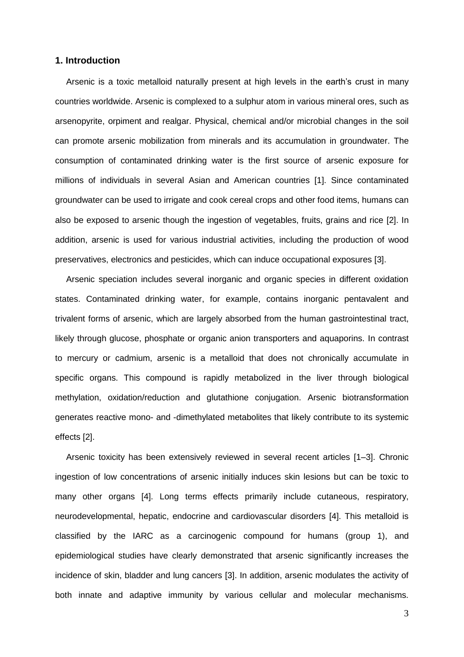#### **1. Introduction**

Arsenic is a toxic metalloid naturally present at high levels in the earth's crust in many countries worldwide. Arsenic is complexed to a sulphur atom in various mineral ores, such as arsenopyrite, orpiment and realgar. Physical, chemical and/or microbial changes in the soil can promote arsenic mobilization from minerals and its accumulation in groundwater. The consumption of contaminated drinking water is the first source of arsenic exposure for millions of individuals in several Asian and American countries [1]. Since contaminated groundwater can be used to irrigate and cook cereal crops and other food items, humans can also be exposed to arsenic though the ingestion of vegetables, fruits, grains and rice [2]. In addition, arsenic is used for various industrial activities, including the production of wood preservatives, electronics and pesticides, which can induce occupational exposures [3].

Arsenic speciation includes several inorganic and organic species in different oxidation states. Contaminated drinking water, for example, contains inorganic pentavalent and trivalent forms of arsenic, which are largely absorbed from the human gastrointestinal tract, likely through glucose, phosphate or organic anion transporters and aquaporins. In contrast to mercury or cadmium, arsenic is a metalloid that does not chronically accumulate in specific organs. This compound is rapidly metabolized in the liver through biological methylation, oxidation/reduction and glutathione conjugation. Arsenic biotransformation generates reactive mono- and -dimethylated metabolites that likely contribute to its systemic effects [2].

Arsenic toxicity has been extensively reviewed in several recent articles [1–3]. Chronic ingestion of low concentrations of arsenic initially induces skin lesions but can be toxic to many other organs [4]. Long terms effects primarily include cutaneous, respiratory, neurodevelopmental, hepatic, endocrine and cardiovascular disorders [4]. This metalloid is classified by the IARC as a carcinogenic compound for humans (group 1), and epidemiological studies have clearly demonstrated that arsenic significantly increases the incidence of skin, bladder and lung cancers [3]. In addition, arsenic modulates the activity of both innate and adaptive immunity by various cellular and molecular mechanisms.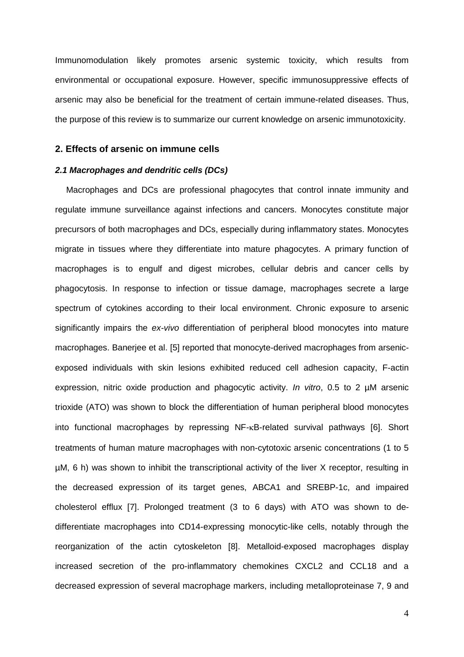Immunomodulation likely promotes arsenic systemic toxicity, which results from environmental or occupational exposure. However, specific immunosuppressive effects of arsenic may also be beneficial for the treatment of certain immune-related diseases. Thus, the purpose of this review is to summarize our current knowledge on arsenic immunotoxicity.

### **2. Effects of arsenic on immune cells**

## *2.1 Macrophages and dendritic cells (DCs)*

Macrophages and DCs are professional phagocytes that control innate immunity and regulate immune surveillance against infections and cancers. Monocytes constitute major precursors of both macrophages and DCs, especially during inflammatory states. Monocytes migrate in tissues where they differentiate into mature phagocytes. A primary function of macrophages is to engulf and digest microbes, cellular debris and cancer cells by phagocytosis. In response to infection or tissue damage, macrophages secrete a large spectrum of cytokines according to their local environment. Chronic exposure to arsenic significantly impairs the *ex-vivo* differentiation of peripheral blood monocytes into mature macrophages. Banerjee et al. [5] reported that monocyte-derived macrophages from arsenicexposed individuals with skin lesions exhibited reduced cell adhesion capacity, F-actin expression, nitric oxide production and phagocytic activity. *In vitro*, 0.5 to 2 µM arsenic trioxide (ATO) was shown to block the differentiation of human peripheral blood monocytes into functional macrophages by repressing NF-KB-related survival pathways [6]. Short treatments of human mature macrophages with non-cytotoxic arsenic concentrations (1 to 5 µM, 6 h) was shown to inhibit the transcriptional activity of the liver X receptor, resulting in the decreased expression of its target genes, ABCA1 and SREBP-1c, and impaired cholesterol efflux [7]. Prolonged treatment (3 to 6 days) with ATO was shown to dedifferentiate macrophages into CD14-expressing monocytic-like cells, notably through the reorganization of the actin cytoskeleton [8]. Metalloid-exposed macrophages display increased secretion of the pro-inflammatory chemokines CXCL2 and CCL18 and a decreased expression of several macrophage markers, including metalloproteinase 7, 9 and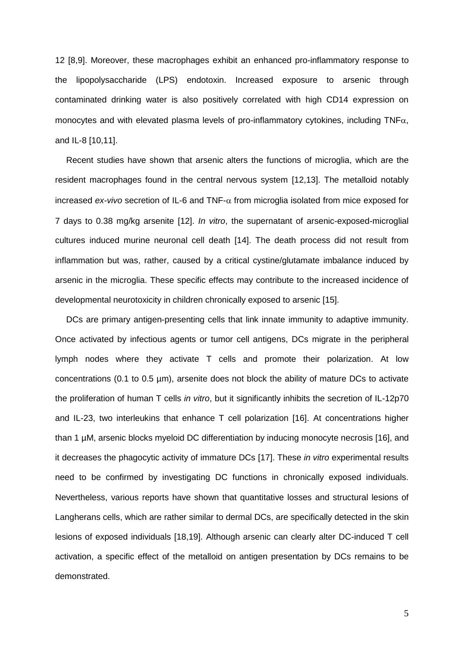12 [8,9]. Moreover, these macrophages exhibit an enhanced pro-inflammatory response to the lipopolysaccharide (LPS) endotoxin. Increased exposure to arsenic through contaminated drinking water is also positively correlated with high CD14 expression on monocytes and with elevated plasma levels of pro-inflammatory cytokines, including  $TNF\alpha$ , and IL-8 [10,11].

Recent studies have shown that arsenic alters the functions of microglia, which are the resident macrophages found in the central nervous system [12,13]. The metalloid notably increased  $ex$ -*vivo* secretion of IL-6 and TNF- $\alpha$  from microglia isolated from mice exposed for 7 days to 0.38 mg/kg arsenite [12]. *In vitro*, the supernatant of arsenic-exposed-microglial cultures induced murine neuronal cell death [14]. The death process did not result from inflammation but was, rather, caused by a critical cystine/glutamate imbalance induced by arsenic in the microglia. These specific effects may contribute to the increased incidence of developmental neurotoxicity in children chronically exposed to arsenic [15].

DCs are primary antigen-presenting cells that link innate immunity to adaptive immunity. Once activated by infectious agents or tumor cell antigens, DCs migrate in the peripheral lymph nodes where they activate T cells and promote their polarization. At low concentrations (0.1 to 0.5 µm), arsenite does not block the ability of mature DCs to activate the proliferation of human T cells *in vitro*, but it significantly inhibits the secretion of IL-12p70 and IL-23, two interleukins that enhance T cell polarization [16]. At concentrations higher than 1 µM, arsenic blocks myeloid DC differentiation by inducing monocyte necrosis [16], and it decreases the phagocytic activity of immature DCs [17]. These *in vitro* experimental results need to be confirmed by investigating DC functions in chronically exposed individuals. Nevertheless, various reports have shown that quantitative losses and structural lesions of Langherans cells, which are rather similar to dermal DCs, are specifically detected in the skin lesions of exposed individuals [18,19]. Although arsenic can clearly alter DC-induced T cell activation, a specific effect of the metalloid on antigen presentation by DCs remains to be demonstrated.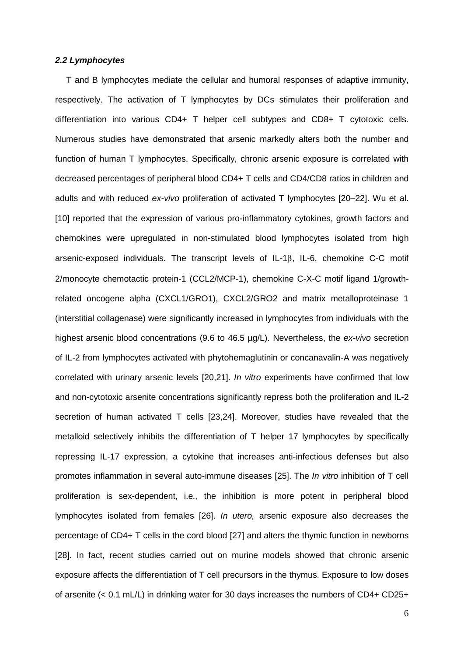#### *2.2 Lymphocytes*

T and B lymphocytes mediate the cellular and humoral responses of adaptive immunity, respectively. The activation of T lymphocytes by DCs stimulates their proliferation and differentiation into various CD4+ T helper cell subtypes and CD8+ T cytotoxic cells. Numerous studies have demonstrated that arsenic markedly alters both the number and function of human T lymphocytes. Specifically, chronic arsenic exposure is correlated with decreased percentages of peripheral blood CD4+ T cells and CD4/CD8 ratios in children and adults and with reduced *ex-vivo* proliferation of activated T lymphocytes [20–22]. Wu et al. [10] reported that the expression of various pro-inflammatory cytokines, growth factors and chemokines were upregulated in non-stimulated blood lymphocytes isolated from high arsenic-exposed individuals. The transcript levels of IL-1 $\beta$ , IL-6, chemokine C-C motif 2/monocyte chemotactic protein-1 (CCL2/MCP-1), chemokine C-X-C motif ligand 1/growthrelated oncogene alpha (CXCL1/GRO1), CXCL2/GRO2 and matrix metalloproteinase 1 (interstitial collagenase) were significantly increased in lymphocytes from individuals with the highest arsenic blood concentrations (9.6 to 46.5 µg/L). Nevertheless, the *ex-vivo* secretion of IL-2 from lymphocytes activated with phytohemaglutinin or concanavalin-A was negatively correlated with urinary arsenic levels [20,21]. *In vitro* experiments have confirmed that low and non-cytotoxic arsenite concentrations significantly repress both the proliferation and IL-2 secretion of human activated T cells [23,24]. Moreover, studies have revealed that the metalloid selectively inhibits the differentiation of T helper 17 lymphocytes by specifically repressing IL-17 expression, a cytokine that increases anti-infectious defenses but also promotes inflammation in several auto-immune diseases [25]. The *In vitro* inhibition of T cell proliferation is sex-dependent, i.e*.,* the inhibition is more potent in peripheral blood lymphocytes isolated from females [26]. *In utero,* arsenic exposure also decreases the percentage of CD4+ T cells in the cord blood [27] and alters the thymic function in newborns [28]. In fact, recent studies carried out on murine models showed that chronic arsenic exposure affects the differentiation of T cell precursors in the thymus. Exposure to low doses of arsenite (< 0.1 mL/L) in drinking water for 30 days increases the numbers of CD4+ CD25+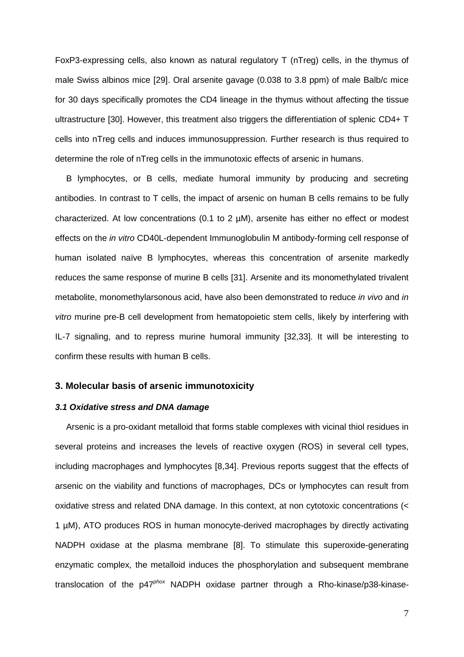FoxP3-expressing cells, also known as natural regulatory T (nTreg) cells, in the thymus of male Swiss albinos mice [29]. Oral arsenite gavage (0.038 to 3.8 ppm) of male Balb/c mice for 30 days specifically promotes the CD4 lineage in the thymus without affecting the tissue ultrastructure [30]. However, this treatment also triggers the differentiation of splenic CD4+ T cells into nTreg cells and induces immunosuppression. Further research is thus required to determine the role of nTreg cells in the immunotoxic effects of arsenic in humans.

B lymphocytes, or B cells, mediate humoral immunity by producing and secreting antibodies. In contrast to T cells, the impact of arsenic on human B cells remains to be fully characterized. At low concentrations (0.1 to 2 µM), arsenite has either no effect or modest effects on the *in vitro* CD40L-dependent Immunoglobulin M antibody-forming cell response of human isolated naïve B lymphocytes, whereas this concentration of arsenite markedly reduces the same response of murine B cells [31]. Arsenite and its monomethylated trivalent metabolite, monomethylarsonous acid, have also been demonstrated to reduce *in vivo* and *in vitro* murine pre-B cell development from hematopoietic stem cells, likely by interfering with IL-7 signaling, and to repress murine humoral immunity [32,33]. It will be interesting to confirm these results with human B cells.

#### **3. Molecular basis of arsenic immunotoxicity**

#### *3.1 Oxidative stress and DNA damage*

Arsenic is a pro-oxidant metalloid that forms stable complexes with vicinal thiol residues in several proteins and increases the levels of reactive oxygen (ROS) in several cell types, including macrophages and lymphocytes [8,34]. Previous reports suggest that the effects of arsenic on the viability and functions of macrophages, DCs or lymphocytes can result from oxidative stress and related DNA damage. In this context, at non cytotoxic concentrations (< 1 µM), ATO produces ROS in human monocyte-derived macrophages by directly activating NADPH oxidase at the plasma membrane [8]. To stimulate this superoxide-generating enzymatic complex, the metalloid induces the phosphorylation and subsequent membrane translocation of the p47*phox* NADPH oxidase partner through a Rho-kinase/p38-kinase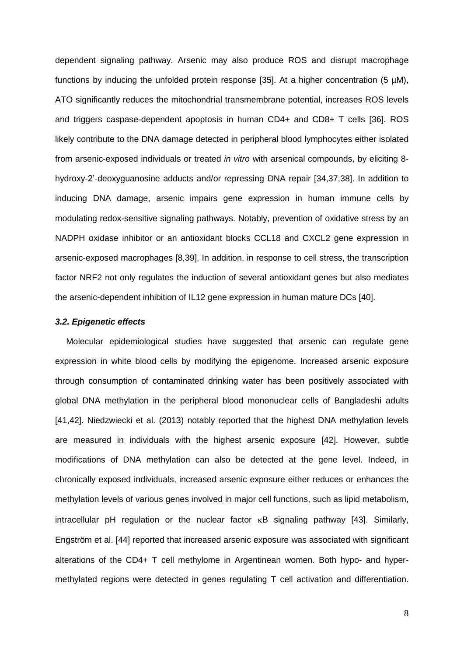dependent signaling pathway. Arsenic may also produce ROS and disrupt macrophage functions by inducing the unfolded protein response [35]. At a higher concentration (5  $\mu$ M), ATO significantly reduces the mitochondrial transmembrane potential, increases ROS levels and triggers caspase-dependent apoptosis in human CD4+ and CD8+ T cells [36]. ROS likely contribute to the DNA damage detected in peripheral blood lymphocytes either isolated from arsenic-exposed individuals or treated *in vitro* with arsenical compounds, by eliciting 8 hydroxy-2'-deoxyguanosine adducts and/or repressing DNA repair [34,37,38]. In addition to inducing DNA damage, arsenic impairs gene expression in human immune cells by modulating redox-sensitive signaling pathways. Notably, prevention of oxidative stress by an NADPH oxidase inhibitor or an antioxidant blocks CCL18 and CXCL2 gene expression in arsenic-exposed macrophages [8,39]. In addition, in response to cell stress, the transcription factor NRF2 not only regulates the induction of several antioxidant genes but also mediates the arsenic-dependent inhibition of IL12 gene expression in human mature DCs [40].

#### *3.2. Epigenetic effects*

Molecular epidemiological studies have suggested that arsenic can regulate gene expression in white blood cells by modifying the epigenome. Increased arsenic exposure through consumption of contaminated drinking water has been positively associated with global DNA methylation in the peripheral blood mononuclear cells of Bangladeshi adults [41,42]. Niedzwiecki et al. (2013) notably reported that the highest DNA methylation levels are measured in individuals with the highest arsenic exposure [42]. However, subtle modifications of DNA methylation can also be detected at the gene level. Indeed, in chronically exposed individuals, increased arsenic exposure either reduces or enhances the methylation levels of various genes involved in major cell functions, such as lipid metabolism, intracellular pH regulation or the nuclear factor  $\kappa$ B signaling pathway [43]. Similarly, Engström et al. [44] reported that increased arsenic exposure was associated with significant alterations of the CD4+ T cell methylome in Argentinean women. Both hypo- and hypermethylated regions were detected in genes regulating T cell activation and differentiation.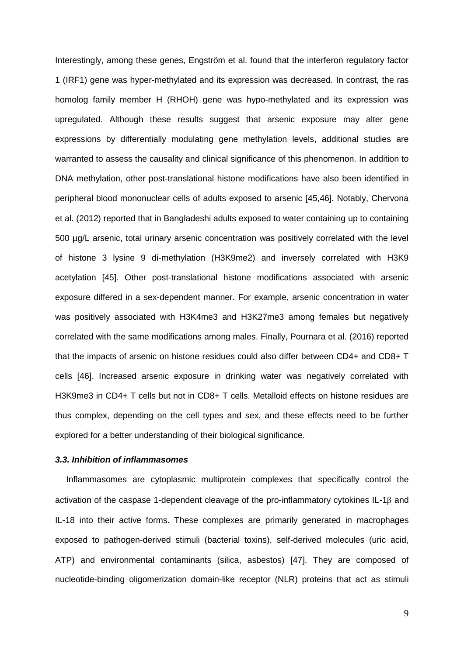Interestingly, among these genes, Engström et al. found that the interferon regulatory factor 1 (IRF1) gene was hyper-methylated and its expression was decreased. In contrast, the ras homolog family member H (RHOH) gene was hypo-methylated and its expression was upregulated. Although these results suggest that arsenic exposure may alter gene expressions by differentially modulating gene methylation levels, additional studies are warranted to assess the causality and clinical significance of this phenomenon. In addition to DNA methylation, other post-translational histone modifications have also been identified in peripheral blood mononuclear cells of adults exposed to arsenic [45,46]. Notably, Chervona et al. (2012) reported that in Bangladeshi adults exposed to water containing up to containing 500 µg/L arsenic, total urinary arsenic concentration was positively correlated with the level of histone 3 lysine 9 di-methylation (H3K9me2) and inversely correlated with H3K9 acetylation [45]. Other post-translational histone modifications associated with arsenic exposure differed in a sex-dependent manner. For example, arsenic concentration in water was positively associated with H3K4me3 and H3K27me3 among females but negatively correlated with the same modifications among males. Finally, Pournara et al. (2016) reported that the impacts of arsenic on histone residues could also differ between CD4+ and CD8+ T cells [46]. Increased arsenic exposure in drinking water was negatively correlated with H3K9me3 in CD4+ T cells but not in CD8+ T cells. Metalloid effects on histone residues are thus complex, depending on the cell types and sex, and these effects need to be further explored for a better understanding of their biological significance.

#### *3.3. Inhibition of inflammasomes*

Inflammasomes are cytoplasmic multiprotein complexes that specifically control the activation of the caspase 1-dependent cleavage of the pro-inflammatory cytokines IL-1 $\beta$  and IL-18 into their active forms. These complexes are primarily generated in macrophages exposed to pathogen-derived stimuli (bacterial toxins), self-derived molecules (uric acid, ATP) and environmental contaminants (silica, asbestos) [47]. They are composed of nucleotide-binding oligomerization domain-like receptor (NLR) proteins that act as stimuli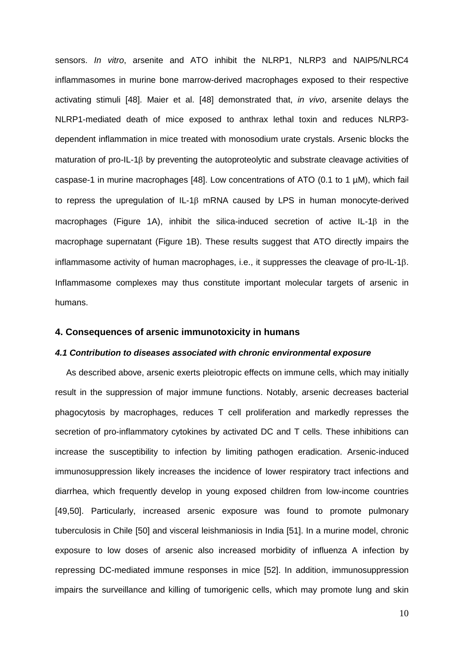sensors. *In vitro*, arsenite and ATO inhibit the NLRP1, NLRP3 and NAIP5/NLRC4 inflammasomes in murine bone marrow-derived macrophages exposed to their respective activating stimuli [48]. Maier et al. [48] demonstrated that, *in vivo*, arsenite delays the NLRP1-mediated death of mice exposed to anthrax lethal toxin and reduces NLRP3 dependent inflammation in mice treated with monosodium urate crystals. Arsenic blocks the maturation of pro-IL-1<sup>8</sup> by preventing the autoproteolytic and substrate cleavage activities of caspase-1 in murine macrophages [48]. Low concentrations of ATO (0.1 to 1 µM), which fail to repress the upregulation of IL-1 $\beta$  mRNA caused by LPS in human monocyte-derived macrophages (Figure 1A), inhibit the silica-induced secretion of active IL-1 $\beta$  in the macrophage supernatant (Figure 1B). These results suggest that ATO directly impairs the inflammasome activity of human macrophages, i.e., it suppresses the cleavage of pro-IL-18. Inflammasome complexes may thus constitute important molecular targets of arsenic in humans.

#### **4. Consequences of arsenic immunotoxicity in humans**

#### *4.1 Contribution to diseases associated with chronic environmental exposure*

As described above, arsenic exerts pleiotropic effects on immune cells, which may initially result in the suppression of major immune functions. Notably, arsenic decreases bacterial phagocytosis by macrophages, reduces T cell proliferation and markedly represses the secretion of pro-inflammatory cytokines by activated DC and T cells. These inhibitions can increase the susceptibility to infection by limiting pathogen eradication. Arsenic-induced immunosuppression likely increases the incidence of lower respiratory tract infections and diarrhea, which frequently develop in young exposed children from low-income countries [49,50]. Particularly, increased arsenic exposure was found to promote pulmonary tuberculosis in Chile [50] and visceral leishmaniosis in India [51]. In a murine model, chronic exposure to low doses of arsenic also increased morbidity of influenza A infection by repressing DC-mediated immune responses in mice [52]. In addition, immunosuppression impairs the surveillance and killing of tumorigenic cells, which may promote lung and skin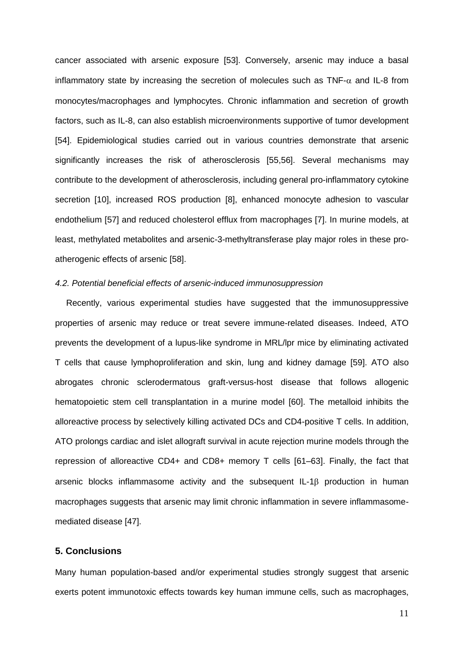cancer associated with arsenic exposure [53]. Conversely, arsenic may induce a basal inflammatory state by increasing the secretion of molecules such as  $TNF-\alpha$  and IL-8 from monocytes/macrophages and lymphocytes. Chronic inflammation and secretion of growth factors, such as IL-8, can also establish microenvironments supportive of tumor development [54]. Epidemiological studies carried out in various countries demonstrate that arsenic significantly increases the risk of atherosclerosis [55,56]. Several mechanisms may contribute to the development of atherosclerosis, including general pro-inflammatory cytokine secretion [10], increased ROS production [8], enhanced monocyte adhesion to vascular endothelium [57] and reduced cholesterol efflux from macrophages [7]. In murine models, at least, methylated metabolites and arsenic-3-methyltransferase play major roles in these proatherogenic effects of arsenic [58].

#### *4.2. Potential beneficial effects of arsenic-induced immunosuppression*

Recently, various experimental studies have suggested that the immunosuppressive properties of arsenic may reduce or treat severe immune-related diseases. Indeed, ATO prevents the development of a lupus-like syndrome in MRL/lpr mice by eliminating activated T cells that cause lymphoproliferation and skin, lung and kidney damage [59]. ATO also abrogates chronic sclerodermatous graft-versus-host disease that follows allogenic hematopoietic stem cell transplantation in a murine model [60]. The metalloid inhibits the alloreactive process by selectively killing activated DCs and CD4-positive T cells. In addition, ATO prolongs cardiac and islet allograft survival in acute rejection murine models through the repression of alloreactive CD4+ and CD8+ memory T cells [61–63]. Finally, the fact that arsenic blocks inflammasome activity and the subsequent IL-1 $\beta$  production in human macrophages suggests that arsenic may limit chronic inflammation in severe inflammasomemediated disease [47].

## **5. Conclusions**

Many human population-based and/or experimental studies strongly suggest that arsenic exerts potent immunotoxic effects towards key human immune cells, such as macrophages,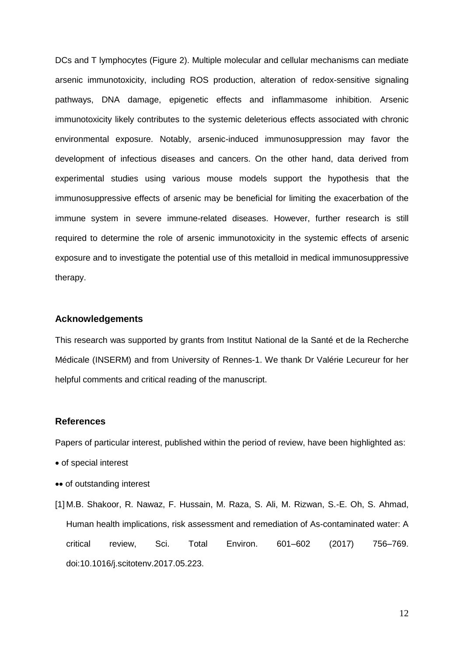DCs and T lymphocytes (Figure 2). Multiple molecular and cellular mechanisms can mediate arsenic immunotoxicity, including ROS production, alteration of redox-sensitive signaling pathways, DNA damage, epigenetic effects and inflammasome inhibition. Arsenic immunotoxicity likely contributes to the systemic deleterious effects associated with chronic environmental exposure. Notably, arsenic-induced immunosuppression may favor the development of infectious diseases and cancers. On the other hand, data derived from experimental studies using various mouse models support the hypothesis that the immunosuppressive effects of arsenic may be beneficial for limiting the exacerbation of the immune system in severe immune-related diseases. However, further research is still required to determine the role of arsenic immunotoxicity in the systemic effects of arsenic exposure and to investigate the potential use of this metalloid in medical immunosuppressive therapy.

#### **Acknowledgements**

This research was supported by grants from Institut National de la Santé et de la Recherche Médicale (INSERM) and from University of Rennes-1. We thank Dr Valérie Lecureur for her helpful comments and critical reading of the manuscript.

#### **References**

Papers of particular interest, published within the period of review, have been highlighted as:

- of special interest
- •• of outstanding interest
- [1] M.B. Shakoor, R. Nawaz, F. Hussain, M. Raza, S. Ali, M. Rizwan, S.-E. Oh, S. Ahmad, Human health implications, risk assessment and remediation of As-contaminated water: A critical review, Sci. Total Environ. 601–602 (2017) 756–769. doi:10.1016/j.scitotenv.2017.05.223.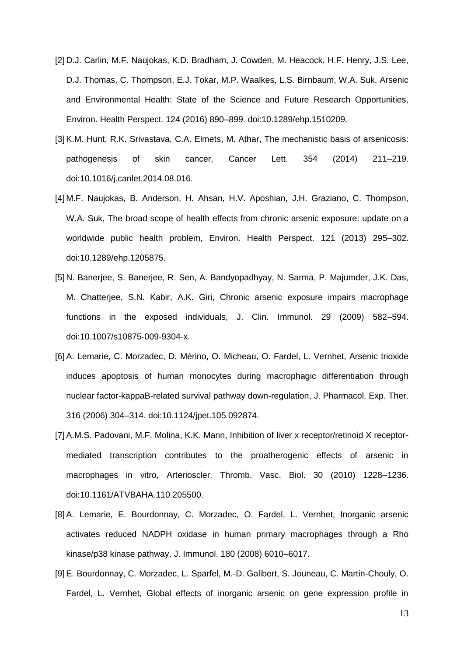- [2] D.J. Carlin, M.F. Naujokas, K.D. Bradham, J. Cowden, M. Heacock, H.F. Henry, J.S. Lee, D.J. Thomas, C. Thompson, E.J. Tokar, M.P. Waalkes, L.S. Birnbaum, W.A. Suk, Arsenic and Environmental Health: State of the Science and Future Research Opportunities, Environ. Health Perspect. 124 (2016) 890–899. doi:10.1289/ehp.1510209.
- [3] K.M. Hunt, R.K. Srivastava, C.A. Elmets, M. Athar, The mechanistic basis of arsenicosis: pathogenesis of skin cancer, Cancer Lett. 354 (2014) 211–219. doi:10.1016/j.canlet.2014.08.016.
- [4] M.F. Naujokas, B. Anderson, H. Ahsan, H.V. Aposhian, J.H. Graziano, C. Thompson, W.A. Suk, The broad scope of health effects from chronic arsenic exposure: update on a worldwide public health problem, Environ. Health Perspect. 121 (2013) 295–302. doi:10.1289/ehp.1205875.
- [5] N. Banerjee, S. Banerjee, R. Sen, A. Bandyopadhyay, N. Sarma, P. Majumder, J.K. Das, M. Chatterjee, S.N. Kabir, A.K. Giri, Chronic arsenic exposure impairs macrophage functions in the exposed individuals, J. Clin. Immunol. 29 (2009) 582–594. doi:10.1007/s10875-009-9304-x.
- [6]A. Lemarie, C. Morzadec, D. Mérino, O. Micheau, O. Fardel, L. Vernhet, Arsenic trioxide induces apoptosis of human monocytes during macrophagic differentiation through nuclear factor-kappaB-related survival pathway down-regulation, J. Pharmacol. Exp. Ther. 316 (2006) 304–314. doi:10.1124/jpet.105.092874.
- [7] A.M.S. Padovani, M.F. Molina, K.K. Mann, Inhibition of liver x receptor/retinoid X receptormediated transcription contributes to the proatherogenic effects of arsenic in macrophages in vitro, Arterioscler. Thromb. Vasc. Biol. 30 (2010) 1228–1236. doi:10.1161/ATVBAHA.110.205500.
- [8]A. Lemarie, E. Bourdonnay, C. Morzadec, O. Fardel, L. Vernhet, Inorganic arsenic activates reduced NADPH oxidase in human primary macrophages through a Rho kinase/p38 kinase pathway, J. Immunol. 180 (2008) 6010–6017.
- [9]E. Bourdonnay, C. Morzadec, L. Sparfel, M.-D. Galibert, S. Jouneau, C. Martin-Chouly, O. Fardel, L. Vernhet, Global effects of inorganic arsenic on gene expression profile in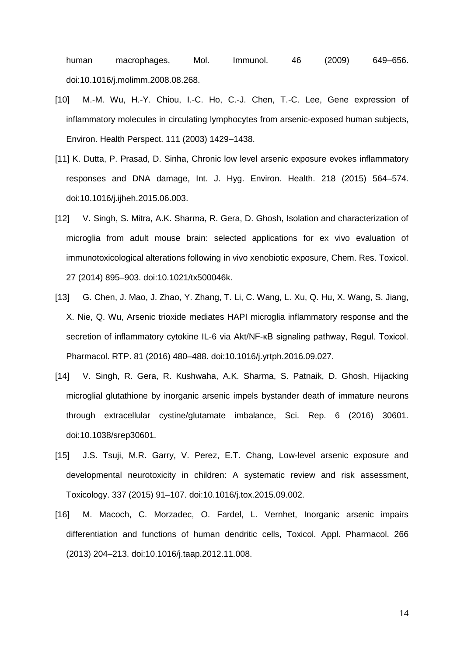human macrophages, Mol. Immunol. 46 (2009) 649–656. doi:10.1016/j.molimm.2008.08.268.

- [10] M.-M. Wu, H.-Y. Chiou, I.-C. Ho, C.-J. Chen, T.-C. Lee, Gene expression of inflammatory molecules in circulating lymphocytes from arsenic-exposed human subjects, Environ. Health Perspect. 111 (2003) 1429–1438.
- [11] K. Dutta, P. Prasad, D. Sinha, Chronic low level arsenic exposure evokes inflammatory responses and DNA damage, Int. J. Hyg. Environ. Health. 218 (2015) 564–574. doi:10.1016/j.ijheh.2015.06.003.
- [12] V. Singh, S. Mitra, A.K. Sharma, R. Gera, D. Ghosh, Isolation and characterization of microglia from adult mouse brain: selected applications for ex vivo evaluation of immunotoxicological alterations following in vivo xenobiotic exposure, Chem. Res. Toxicol. 27 (2014) 895–903. doi:10.1021/tx500046k.
- [13] G. Chen, J. Mao, J. Zhao, Y. Zhang, T. Li, C. Wang, L. Xu, Q. Hu, X. Wang, S. Jiang, X. Nie, Q. Wu, Arsenic trioxide mediates HAPI microglia inflammatory response and the secretion of inflammatory cytokine IL-6 via Akt/NF-κB signaling pathway, Regul. Toxicol. Pharmacol. RTP. 81 (2016) 480–488. doi:10.1016/j.yrtph.2016.09.027.
- [14] V. Singh, R. Gera, R. Kushwaha, A.K. Sharma, S. Patnaik, D. Ghosh, Hijacking microglial glutathione by inorganic arsenic impels bystander death of immature neurons through extracellular cystine/glutamate imbalance, Sci. Rep. 6 (2016) 30601. doi:10.1038/srep30601.
- [15] J.S. Tsuji, M.R. Garry, V. Perez, E.T. Chang, Low-level arsenic exposure and developmental neurotoxicity in children: A systematic review and risk assessment, Toxicology. 337 (2015) 91–107. doi:10.1016/j.tox.2015.09.002.
- [16] M. Macoch, C. Morzadec, O. Fardel, L. Vernhet, Inorganic arsenic impairs differentiation and functions of human dendritic cells, Toxicol. Appl. Pharmacol. 266 (2013) 204–213. doi:10.1016/j.taap.2012.11.008.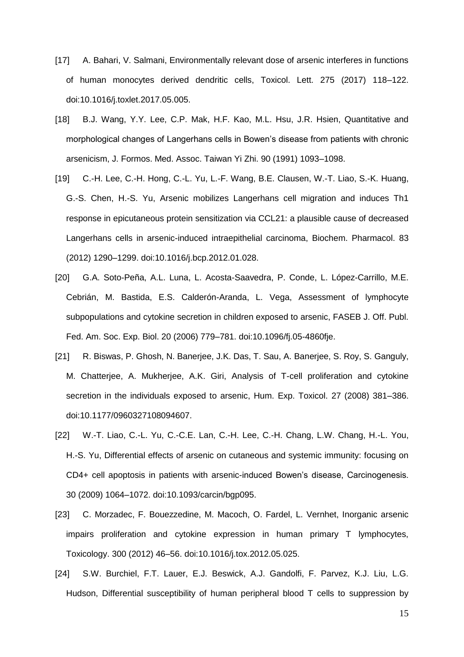- [17] A. Bahari, V. Salmani, Environmentally relevant dose of arsenic interferes in functions of human monocytes derived dendritic cells, Toxicol. Lett. 275 (2017) 118–122. doi:10.1016/j.toxlet.2017.05.005.
- [18] B.J. Wang, Y.Y. Lee, C.P. Mak, H.F. Kao, M.L. Hsu, J.R. Hsien, Quantitative and morphological changes of Langerhans cells in Bowen's disease from patients with chronic arsenicism, J. Formos. Med. Assoc. Taiwan Yi Zhi. 90 (1991) 1093–1098.
- [19] C.-H. Lee, C.-H. Hong, C.-L. Yu, L.-F. Wang, B.E. Clausen, W.-T. Liao, S.-K. Huang, G.-S. Chen, H.-S. Yu, Arsenic mobilizes Langerhans cell migration and induces Th1 response in epicutaneous protein sensitization via CCL21: a plausible cause of decreased Langerhans cells in arsenic-induced intraepithelial carcinoma, Biochem. Pharmacol. 83 (2012) 1290–1299. doi:10.1016/j.bcp.2012.01.028.
- [20] G.A. Soto-Peña, A.L. Luna, L. Acosta-Saavedra, P. Conde, L. López-Carrillo, M.E. Cebrián, M. Bastida, E.S. Calderón-Aranda, L. Vega, Assessment of lymphocyte subpopulations and cytokine secretion in children exposed to arsenic, FASEB J. Off. Publ. Fed. Am. Soc. Exp. Biol. 20 (2006) 779–781. doi:10.1096/fj.05-4860fje.
- [21] R. Biswas, P. Ghosh, N. Banerjee, J.K. Das, T. Sau, A. Banerjee, S. Roy, S. Ganguly, M. Chatterjee, A. Mukherjee, A.K. Giri, Analysis of T-cell proliferation and cytokine secretion in the individuals exposed to arsenic, Hum. Exp. Toxicol. 27 (2008) 381–386. doi:10.1177/0960327108094607.
- [22] W.-T. Liao, C.-L. Yu, C.-C.E. Lan, C.-H. Lee, C.-H. Chang, L.W. Chang, H.-L. You, H.-S. Yu, Differential effects of arsenic on cutaneous and systemic immunity: focusing on CD4+ cell apoptosis in patients with arsenic-induced Bowen's disease, Carcinogenesis. 30 (2009) 1064–1072. doi:10.1093/carcin/bgp095.
- [23] C. Morzadec, F. Bouezzedine, M. Macoch, O. Fardel, L. Vernhet, Inorganic arsenic impairs proliferation and cytokine expression in human primary T lymphocytes, Toxicology. 300 (2012) 46–56. doi:10.1016/j.tox.2012.05.025.
- [24] S.W. Burchiel, F.T. Lauer, E.J. Beswick, A.J. Gandolfi, F. Parvez, K.J. Liu, L.G. Hudson, Differential susceptibility of human peripheral blood T cells to suppression by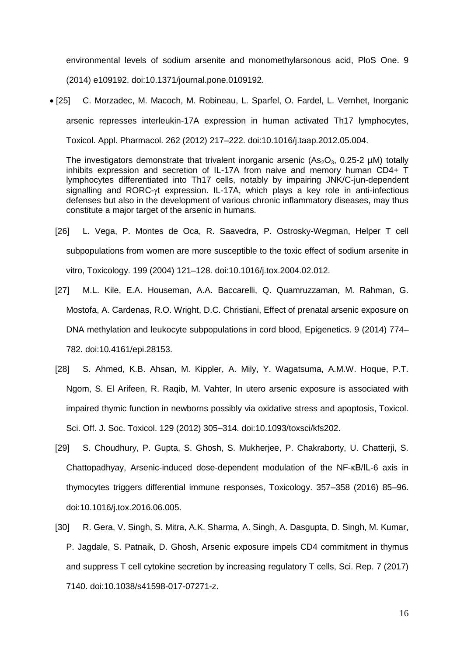environmental levels of sodium arsenite and monomethylarsonous acid, PloS One. 9 (2014) e109192. doi:10.1371/journal.pone.0109192.

 [25] C. Morzadec, M. Macoch, M. Robineau, L. Sparfel, O. Fardel, L. Vernhet, Inorganic arsenic represses interleukin-17A expression in human activated Th17 lymphocytes, Toxicol. Appl. Pharmacol. 262 (2012) 217–222. doi:10.1016/j.taap.2012.05.004.

The investigators demonstrate that trivalent inorganic arsenic  $(As_2O_3, 0.25-2 \mu M)$  totally inhibits expression and secretion of IL-17A from naive and memory human CD4+ T lymphocytes differentiated into Th17 cells, notably by impairing JNK/C-jun-dependent signalling and RORC- $\gamma t$  expression. IL-17A, which plays a key role in anti-infectious defenses but also in the development of various chronic inflammatory diseases, may thus constitute a major target of the arsenic in humans.

- [26] L. Vega, P. Montes de Oca, R. Saavedra, P. Ostrosky-Wegman, Helper T cell subpopulations from women are more susceptible to the toxic effect of sodium arsenite in vitro, Toxicology. 199 (2004) 121–128. doi:10.1016/j.tox.2004.02.012.
- [27] M.L. Kile, E.A. Houseman, A.A. Baccarelli, Q. Quamruzzaman, M. Rahman, G. Mostofa, A. Cardenas, R.O. Wright, D.C. Christiani, Effect of prenatal arsenic exposure on DNA methylation and leukocyte subpopulations in cord blood, Epigenetics. 9 (2014) 774– 782. doi:10.4161/epi.28153.
- [28] S. Ahmed, K.B. Ahsan, M. Kippler, A. Mily, Y. Wagatsuma, A.M.W. Hoque, P.T. Ngom, S. El Arifeen, R. Raqib, M. Vahter, In utero arsenic exposure is associated with impaired thymic function in newborns possibly via oxidative stress and apoptosis, Toxicol. Sci. Off. J. Soc. Toxicol. 129 (2012) 305–314. doi:10.1093/toxsci/kfs202.
- [29] S. Choudhury, P. Gupta, S. Ghosh, S. Mukherjee, P. Chakraborty, U. Chatterji, S. Chattopadhyay, Arsenic-induced dose-dependent modulation of the NF-κB/IL-6 axis in thymocytes triggers differential immune responses, Toxicology. 357–358 (2016) 85–96. doi:10.1016/j.tox.2016.06.005.
- [30] R. Gera, V. Singh, S. Mitra, A.K. Sharma, A. Singh, A. Dasgupta, D. Singh, M. Kumar, P. Jagdale, S. Patnaik, D. Ghosh, Arsenic exposure impels CD4 commitment in thymus and suppress T cell cytokine secretion by increasing regulatory T cells, Sci. Rep. 7 (2017) 7140. doi:10.1038/s41598-017-07271-z.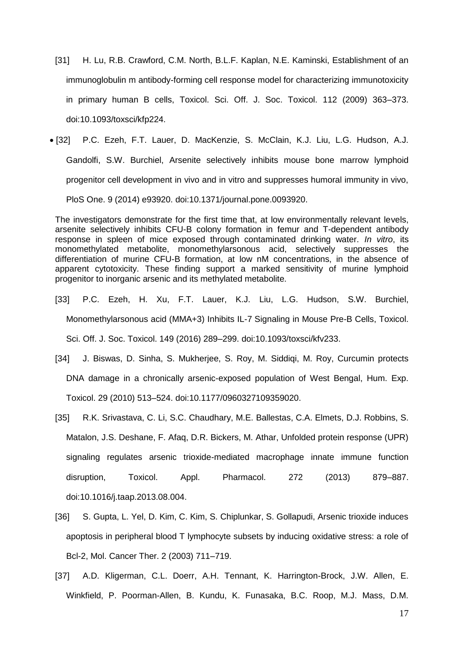- [31] H. Lu, R.B. Crawford, C.M. North, B.L.F. Kaplan, N.E. Kaminski, Establishment of an immunoglobulin m antibody-forming cell response model for characterizing immunotoxicity in primary human B cells, Toxicol. Sci. Off. J. Soc. Toxicol. 112 (2009) 363–373. doi:10.1093/toxsci/kfp224.
- [32] P.C. Ezeh, F.T. Lauer, D. MacKenzie, S. McClain, K.J. Liu, L.G. Hudson, A.J. Gandolfi, S.W. Burchiel, Arsenite selectively inhibits mouse bone marrow lymphoid progenitor cell development in vivo and in vitro and suppresses humoral immunity in vivo, PloS One. 9 (2014) e93920. doi:10.1371/journal.pone.0093920.

The investigators demonstrate for the first time that, at low environmentally relevant levels, arsenite selectively inhibits CFU-B colony formation in femur and T-dependent antibody response in spleen of mice exposed through contaminated drinking water. *In vitro*, its monomethylated metabolite, monomethylarsonous acid, selectively suppresses the differentiation of murine CFU-B formation, at low nM concentrations, in the absence of apparent cytotoxicity. These finding support a marked sensitivity of murine lymphoid progenitor to inorganic arsenic and its methylated metabolite.

- [33] P.C. Ezeh, H. Xu, F.T. Lauer, K.J. Liu, L.G. Hudson, S.W. Burchiel, Monomethylarsonous acid (MMA+3) Inhibits IL-7 Signaling in Mouse Pre-B Cells, Toxicol. Sci. Off. J. Soc. Toxicol. 149 (2016) 289–299. doi:10.1093/toxsci/kfv233.
- [34] J. Biswas, D. Sinha, S. Mukherjee, S. Roy, M. Siddiqi, M. Roy, Curcumin protects DNA damage in a chronically arsenic-exposed population of West Bengal, Hum. Exp. Toxicol. 29 (2010) 513–524. doi:10.1177/0960327109359020.
- [35] R.K. Srivastava, C. Li, S.C. Chaudhary, M.E. Ballestas, C.A. Elmets, D.J. Robbins, S. Matalon, J.S. Deshane, F. Afaq, D.R. Bickers, M. Athar, Unfolded protein response (UPR) signaling regulates arsenic trioxide-mediated macrophage innate immune function disruption, Toxicol. Appl. Pharmacol. 272 (2013) 879–887. doi:10.1016/j.taap.2013.08.004.
- [36] S. Gupta, L. Yel, D. Kim, C. Kim, S. Chiplunkar, S. Gollapudi, Arsenic trioxide induces apoptosis in peripheral blood T lymphocyte subsets by inducing oxidative stress: a role of Bcl-2, Mol. Cancer Ther. 2 (2003) 711–719.
- [37] A.D. Kligerman, C.L. Doerr, A.H. Tennant, K. Harrington-Brock, J.W. Allen, E. Winkfield, P. Poorman-Allen, B. Kundu, K. Funasaka, B.C. Roop, M.J. Mass, D.M.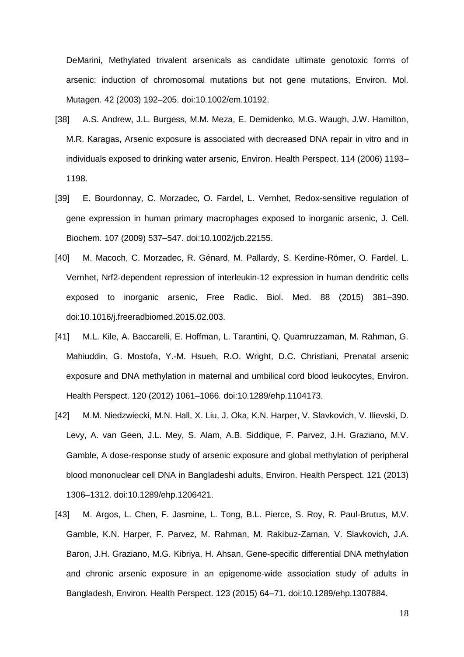DeMarini, Methylated trivalent arsenicals as candidate ultimate genotoxic forms of arsenic: induction of chromosomal mutations but not gene mutations, Environ. Mol. Mutagen. 42 (2003) 192–205. doi:10.1002/em.10192.

- [38] A.S. Andrew, J.L. Burgess, M.M. Meza, E. Demidenko, M.G. Waugh, J.W. Hamilton, M.R. Karagas, Arsenic exposure is associated with decreased DNA repair in vitro and in individuals exposed to drinking water arsenic, Environ. Health Perspect. 114 (2006) 1193– 1198.
- [39] E. Bourdonnay, C. Morzadec, O. Fardel, L. Vernhet, Redox-sensitive regulation of gene expression in human primary macrophages exposed to inorganic arsenic, J. Cell. Biochem. 107 (2009) 537–547. doi:10.1002/jcb.22155.
- [40] M. Macoch, C. Morzadec, R. Génard, M. Pallardy, S. Kerdine-Römer, O. Fardel, L. Vernhet, Nrf2-dependent repression of interleukin-12 expression in human dendritic cells exposed to inorganic arsenic, Free Radic. Biol. Med. 88 (2015) 381–390. doi:10.1016/j.freeradbiomed.2015.02.003.
- [41] M.L. Kile, A. Baccarelli, E. Hoffman, L. Tarantini, Q. Quamruzzaman, M. Rahman, G. Mahiuddin, G. Mostofa, Y.-M. Hsueh, R.O. Wright, D.C. Christiani, Prenatal arsenic exposure and DNA methylation in maternal and umbilical cord blood leukocytes, Environ. Health Perspect. 120 (2012) 1061–1066. doi:10.1289/ehp.1104173.
- [42] M.M. Niedzwiecki, M.N. Hall, X. Liu, J. Oka, K.N. Harper, V. Slavkovich, V. Ilievski, D. Levy, A. van Geen, J.L. Mey, S. Alam, A.B. Siddique, F. Parvez, J.H. Graziano, M.V. Gamble, A dose-response study of arsenic exposure and global methylation of peripheral blood mononuclear cell DNA in Bangladeshi adults, Environ. Health Perspect. 121 (2013) 1306–1312. doi:10.1289/ehp.1206421.
- [43] M. Argos, L. Chen, F. Jasmine, L. Tong, B.L. Pierce, S. Roy, R. Paul-Brutus, M.V. Gamble, K.N. Harper, F. Parvez, M. Rahman, M. Rakibuz-Zaman, V. Slavkovich, J.A. Baron, J.H. Graziano, M.G. Kibriya, H. Ahsan, Gene-specific differential DNA methylation and chronic arsenic exposure in an epigenome-wide association study of adults in Bangladesh, Environ. Health Perspect. 123 (2015) 64–71. doi:10.1289/ehp.1307884.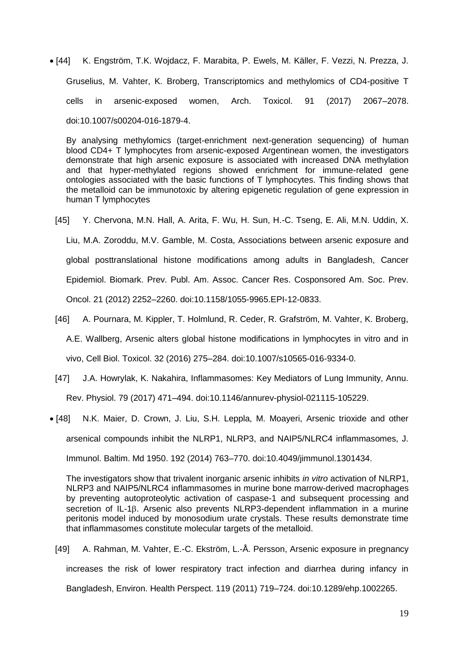[44] K. Engström, T.K. Wojdacz, F. Marabita, P. Ewels, M. Käller, F. Vezzi, N. Prezza, J. Gruselius, M. Vahter, K. Broberg, Transcriptomics and methylomics of CD4-positive T cells in arsenic-exposed women, Arch. Toxicol. 91 (2017) 2067–2078. doi:10.1007/s00204-016-1879-4.

By analysing methylomics (target-enrichment next-generation sequencing) of human blood CD4+ T lymphocytes from arsenic-exposed Argentinean women, the investigators demonstrate that high arsenic exposure is associated with increased DNA methylation and that hyper-methylated regions showed enrichment for immune-related gene ontologies associated with the basic functions of T lymphocytes. This finding shows that the metalloid can be immunotoxic by altering epigenetic regulation of gene expression in human T lymphocytes

- [45] Y. Chervona, M.N. Hall, A. Arita, F. Wu, H. Sun, H.-C. Tseng, E. Ali, M.N. Uddin, X. Liu, M.A. Zoroddu, M.V. Gamble, M. Costa, Associations between arsenic exposure and global posttranslational histone modifications among adults in Bangladesh, Cancer Epidemiol. Biomark. Prev. Publ. Am. Assoc. Cancer Res. Cosponsored Am. Soc. Prev. Oncol. 21 (2012) 2252–2260. doi:10.1158/1055-9965.EPI-12-0833.
- [46] A. Pournara, M. Kippler, T. Holmlund, R. Ceder, R. Grafström, M. Vahter, K. Broberg, A.E. Wallberg, Arsenic alters global histone modifications in lymphocytes in vitro and in vivo, Cell Biol. Toxicol. 32 (2016) 275–284. doi:10.1007/s10565-016-9334-0.
- [47] J.A. Howrylak, K. Nakahira, Inflammasomes: Key Mediators of Lung Immunity, Annu. Rev. Physiol. 79 (2017) 471–494. doi:10.1146/annurev-physiol-021115-105229.
- [48] N.K. Maier, D. Crown, J. Liu, S.H. Leppla, M. Moayeri, Arsenic trioxide and other arsenical compounds inhibit the NLRP1, NLRP3, and NAIP5/NLRC4 inflammasomes, J. Immunol. Baltim. Md 1950. 192 (2014) 763–770. doi:10.4049/jimmunol.1301434.

The investigators show that trivalent inorganic arsenic inhibits *in vitro* activation of NLRP1, NLRP3 and NAIP5/NLRC4 inflammasomes in murine bone marrow-derived macrophages by preventing autoproteolytic activation of caspase-1 and subsequent processing and secretion of IL-1 $\beta$ . Arsenic also prevents NLRP3-dependent inflammation in a murine peritonis model induced by monosodium urate crystals. These results demonstrate time that inflammasomes constitute molecular targets of the metalloid.

[49] A. Rahman, M. Vahter, E.-C. Ekström, L.-Å. Persson, Arsenic exposure in pregnancy increases the risk of lower respiratory tract infection and diarrhea during infancy in Bangladesh, Environ. Health Perspect. 119 (2011) 719–724. doi:10.1289/ehp.1002265.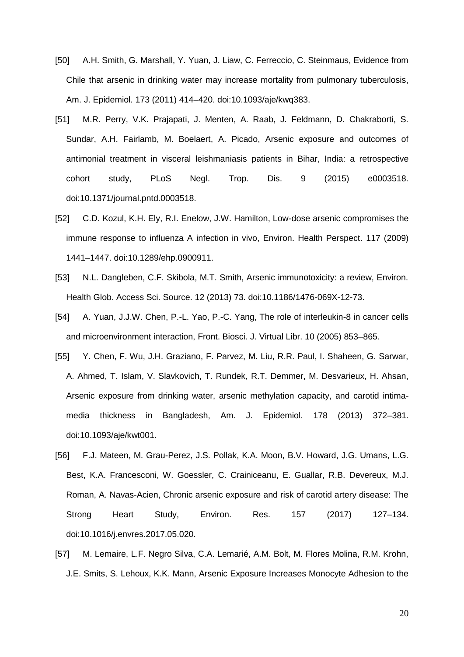- [50] A.H. Smith, G. Marshall, Y. Yuan, J. Liaw, C. Ferreccio, C. Steinmaus, Evidence from Chile that arsenic in drinking water may increase mortality from pulmonary tuberculosis, Am. J. Epidemiol. 173 (2011) 414–420. doi:10.1093/aje/kwq383.
- [51] M.R. Perry, V.K. Prajapati, J. Menten, A. Raab, J. Feldmann, D. Chakraborti, S. Sundar, A.H. Fairlamb, M. Boelaert, A. Picado, Arsenic exposure and outcomes of antimonial treatment in visceral leishmaniasis patients in Bihar, India: a retrospective cohort study, PLoS Negl. Trop. Dis. 9 (2015) e0003518. doi:10.1371/journal.pntd.0003518.
- [52] C.D. Kozul, K.H. Ely, R.I. Enelow, J.W. Hamilton, Low-dose arsenic compromises the immune response to influenza A infection in vivo, Environ. Health Perspect. 117 (2009) 1441–1447. doi:10.1289/ehp.0900911.
- [53] N.L. Dangleben, C.F. Skibola, M.T. Smith, Arsenic immunotoxicity: a review, Environ. Health Glob. Access Sci. Source. 12 (2013) 73. doi:10.1186/1476-069X-12-73.
- [54] A. Yuan, J.J.W. Chen, P.-L. Yao, P.-C. Yang, The role of interleukin-8 in cancer cells and microenvironment interaction, Front. Biosci. J. Virtual Libr. 10 (2005) 853–865.
- [55] Y. Chen, F. Wu, J.H. Graziano, F. Parvez, M. Liu, R.R. Paul, I. Shaheen, G. Sarwar, A. Ahmed, T. Islam, V. Slavkovich, T. Rundek, R.T. Demmer, M. Desvarieux, H. Ahsan, Arsenic exposure from drinking water, arsenic methylation capacity, and carotid intimamedia thickness in Bangladesh, Am. J. Epidemiol. 178 (2013) 372–381. doi:10.1093/aje/kwt001.
- [56] F.J. Mateen, M. Grau-Perez, J.S. Pollak, K.A. Moon, B.V. Howard, J.G. Umans, L.G. Best, K.A. Francesconi, W. Goessler, C. Crainiceanu, E. Guallar, R.B. Devereux, M.J. Roman, A. Navas-Acien, Chronic arsenic exposure and risk of carotid artery disease: The Strong Heart Study, Environ. Res. 157 (2017) 127–134. doi:10.1016/j.envres.2017.05.020.
- [57] M. Lemaire, L.F. Negro Silva, C.A. Lemarié, A.M. Bolt, M. Flores Molina, R.M. Krohn, J.E. Smits, S. Lehoux, K.K. Mann, Arsenic Exposure Increases Monocyte Adhesion to the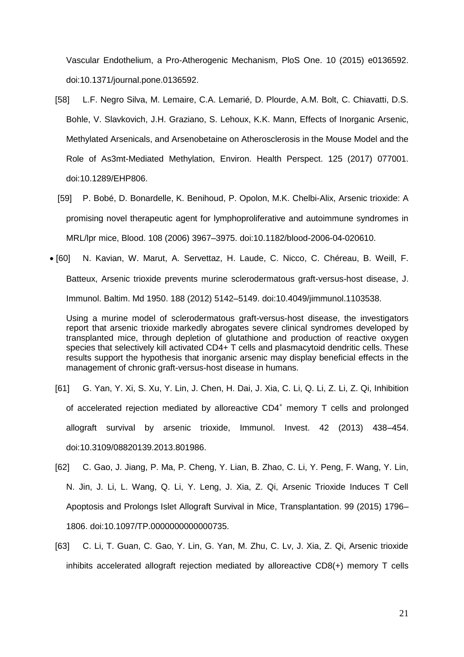Vascular Endothelium, a Pro-Atherogenic Mechanism, PloS One. 10 (2015) e0136592. doi:10.1371/journal.pone.0136592.

- [58] L.F. Negro Silva, M. Lemaire, C.A. Lemarié, D. Plourde, A.M. Bolt, C. Chiavatti, D.S. Bohle, V. Slavkovich, J.H. Graziano, S. Lehoux, K.K. Mann, Effects of Inorganic Arsenic, Methylated Arsenicals, and Arsenobetaine on Atherosclerosis in the Mouse Model and the Role of As3mt-Mediated Methylation, Environ. Health Perspect. 125 (2017) 077001. doi:10.1289/EHP806.
- [59] P. Bobé, D. Bonardelle, K. Benihoud, P. Opolon, M.K. Chelbi-Alix, Arsenic trioxide: A promising novel therapeutic agent for lymphoproliferative and autoimmune syndromes in MRL/lpr mice, Blood. 108 (2006) 3967–3975. doi:10.1182/blood-2006-04-020610.
- [60] N. Kavian, W. Marut, A. Servettaz, H. Laude, C. Nicco, C. Chéreau, B. Weill, F. Batteux, Arsenic trioxide prevents murine sclerodermatous graft-versus-host disease, J. Immunol. Baltim. Md 1950. 188 (2012) 5142–5149. doi:10.4049/jimmunol.1103538.

Using a murine model of sclerodermatous graft-versus-host disease, the investigators report that arsenic trioxide markedly abrogates severe clinical syndromes developed by transplanted mice, through depletion of glutathione and production of reactive oxygen species that selectively kill activated CD4+ T cells and plasmacytoid dendritic cells. These results support the hypothesis that inorganic arsenic may display beneficial effects in the management of chronic graft-versus-host disease in humans.

- [61] G. Yan, Y. Xi, S. Xu, Y. Lin, J. Chen, H. Dai, J. Xia, C. Li, Q. Li, Z. Li, Z. Qi, Inhibition of accelerated rejection mediated by alloreactive CD4<sup>+</sup> memory T cells and prolonged allograft survival by arsenic trioxide, Immunol. Invest. 42 (2013) 438–454. doi:10.3109/08820139.2013.801986.
- [62] C. Gao, J. Jiang, P. Ma, P. Cheng, Y. Lian, B. Zhao, C. Li, Y. Peng, F. Wang, Y. Lin, N. Jin, J. Li, L. Wang, Q. Li, Y. Leng, J. Xia, Z. Qi, Arsenic Trioxide Induces T Cell Apoptosis and Prolongs Islet Allograft Survival in Mice, Transplantation. 99 (2015) 1796– 1806. doi:10.1097/TP.0000000000000735.
- [63] C. Li, T. Guan, C. Gao, Y. Lin, G. Yan, M. Zhu, C. Lv, J. Xia, Z. Qi, Arsenic trioxide inhibits accelerated allograft rejection mediated by alloreactive CD8(+) memory T cells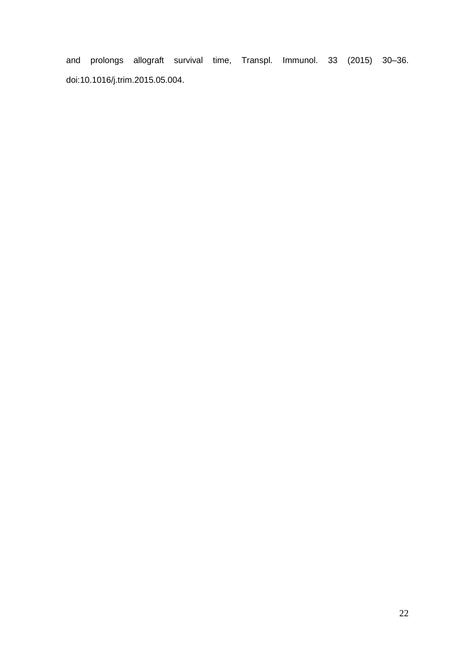and prolongs allograft survival time, Transpl. Immunol. 33 (2015) 30–36. doi:10.1016/j.trim.2015.05.004.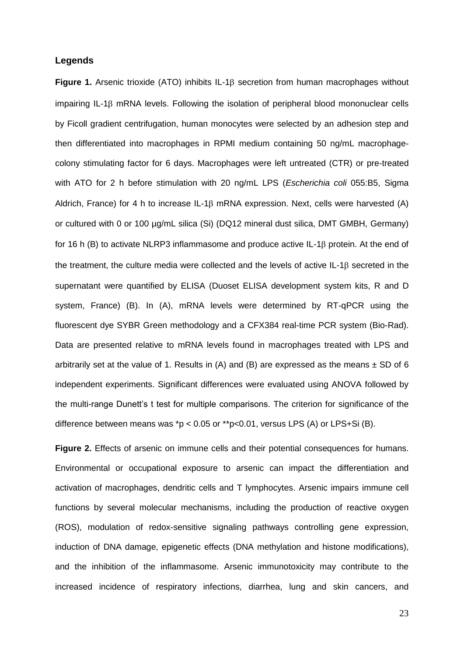## **Legends**

**Figure 1.** Arsenic trioxide (ATO) inhibits IL-1<sup>B</sup> secretion from human macrophages without impairing IL-1 $\beta$  mRNA levels. Following the isolation of peripheral blood mononuclear cells by Ficoll gradient centrifugation, human monocytes were selected by an adhesion step and then differentiated into macrophages in RPMI medium containing 50 ng/mL macrophagecolony stimulating factor for 6 days. Macrophages were left untreated (CTR) or pre-treated with ATO for 2 h before stimulation with 20 ng/mL LPS (*Escherichia coli* 055:B5, Sigma Aldrich, France) for 4 h to increase IL-1 $\beta$  mRNA expression. Next, cells were harvested (A) or cultured with 0 or 100 µg/mL silica (Si) (DQ12 mineral dust silica, DMT GMBH, Germany) for 16 h (B) to activate NLRP3 inflammasome and produce active IL-1 $\beta$  protein. At the end of the treatment, the culture media were collected and the levels of active  $IL-1\beta$  secreted in the supernatant were quantified by ELISA (Duoset ELISA development system kits, R and D system, France) (B). In (A), mRNA levels were determined by RT-qPCR using the fluorescent dye SYBR Green methodology and a CFX384 real-time PCR system (Bio-Rad). Data are presented relative to mRNA levels found in macrophages treated with LPS and arbitrarily set at the value of 1. Results in (A) and (B) are expressed as the means  $\pm$  SD of 6 independent experiments. Significant differences were evaluated using ANOVA followed by the multi-range Dunett's t test for multiple comparisons. The criterion for significance of the difference between means was  $p < 0.05$  or  $*p < 0.01$ , versus LPS (A) or LPS+Si (B).

**Figure 2.** Effects of arsenic on immune cells and their potential consequences for humans. Environmental or occupational exposure to arsenic can impact the differentiation and activation of macrophages, dendritic cells and T lymphocytes. Arsenic impairs immune cell functions by several molecular mechanisms, including the production of reactive oxygen (ROS), modulation of redox-sensitive signaling pathways controlling gene expression, induction of DNA damage, epigenetic effects (DNA methylation and histone modifications), and the inhibition of the inflammasome. Arsenic immunotoxicity may contribute to the increased incidence of respiratory infections, diarrhea, lung and skin cancers, and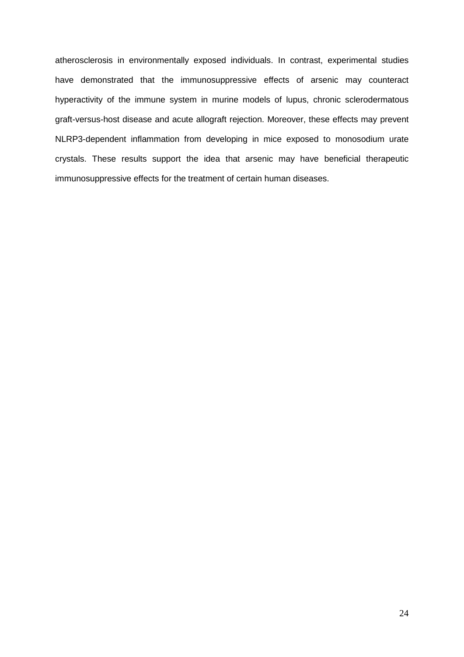atherosclerosis in environmentally exposed individuals. In contrast, experimental studies have demonstrated that the immunosuppressive effects of arsenic may counteract hyperactivity of the immune system in murine models of lupus, chronic sclerodermatous graft-versus-host disease and acute allograft rejection. Moreover, these effects may prevent NLRP3-dependent inflammation from developing in mice exposed to monosodium urate crystals. These results support the idea that arsenic may have beneficial therapeutic immunosuppressive effects for the treatment of certain human diseases.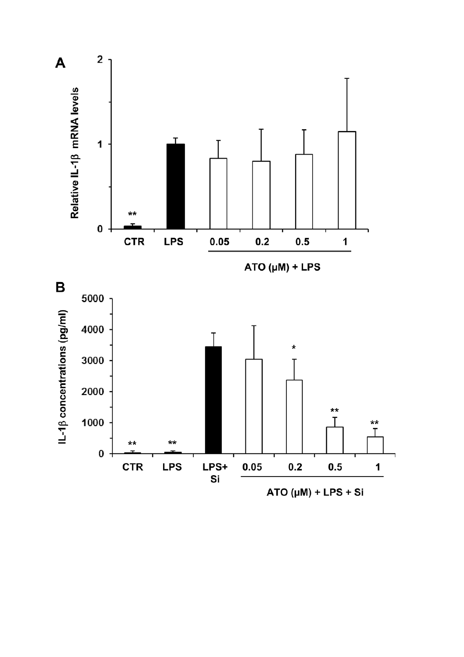